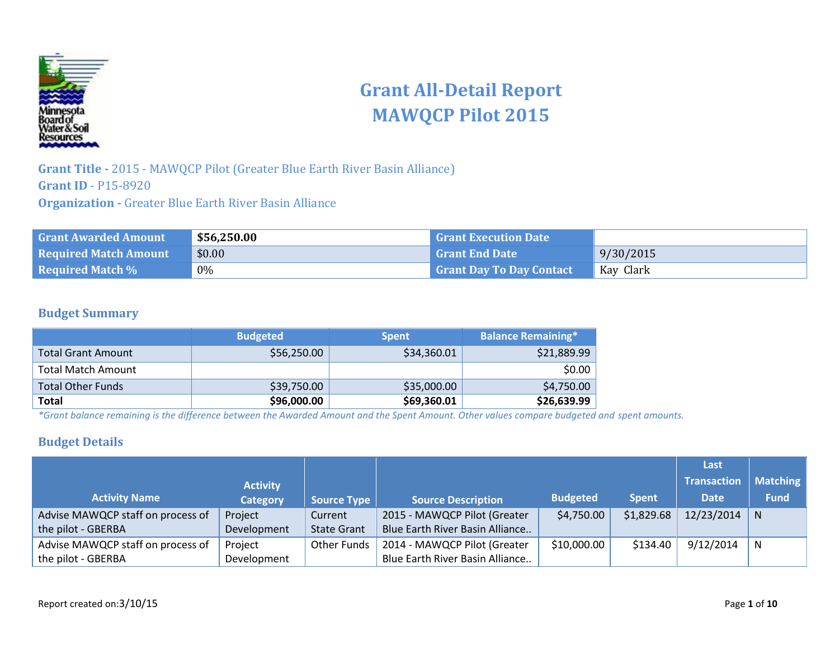

# **Grant All-Detail Report MAWQCP Pilot 2015**

**Grant Title -** 2015 - MAWQCP Pilot (Greater Blue Earth River Basin Alliance) **Grant ID** - P15-8920 **Organization -** Greater Blue Earth River Basin Alliance

| <b>Grant Awarded Amount</b>  | \$56,250.00 | <b>Grant Execution Date</b>     |           |
|------------------------------|-------------|---------------------------------|-----------|
| <b>Required Match Amount</b> | \$0.00      | <b>Grant End Date</b>           | 9/30/2015 |
| <b>Required Match %</b>      | 0%          | <b>Grant Day To Day Contact</b> | Kay Clark |

#### **Budget Summary**

|                           | <b>Budgeted</b> | <b>Spent</b> | <b>Balance Remaining*</b> |
|---------------------------|-----------------|--------------|---------------------------|
| <b>Total Grant Amount</b> | \$56,250.00     | \$34,360.01  | \$21,889.99               |
| Total Match Amount        |                 |              | \$0.00                    |
| <b>Total Other Funds</b>  | \$39,750.00     | \$35,000.00  | \$4,750.00                |
| Total                     | \$96,000.00     | \$69,360.01  | \$26,639.99               |

*\*Grant balance remaining is the difference between the Awarded Amount and the Spent Amount. Other values compare budgeted and spent amounts.*

#### **Budget Details**

|                                   |                 |                    |                                 |                 |              | Last               |                 |
|-----------------------------------|-----------------|--------------------|---------------------------------|-----------------|--------------|--------------------|-----------------|
|                                   | <b>Activity</b> |                    |                                 |                 |              | <b>Transaction</b> | <b>Matching</b> |
| <b>Activity Name</b>              | <b>Category</b> | <b>Source Type</b> | <b>Source Description</b>       | <b>Budgeted</b> | <b>Spent</b> | <b>Date</b>        | <b>Fund</b>     |
| Advise MAWQCP staff on process of | Project         | Current            | 2015 - MAWQCP Pilot (Greater    | \$4,750.00      | \$1,829.68   | $12/23/2014$ N     |                 |
| the pilot - GBERBA                | Development     | <b>State Grant</b> | Blue Earth River Basin Alliance |                 |              |                    |                 |
| Advise MAWQCP staff on process of | Project         | <b>Other Funds</b> | 2014 - MAWQCP Pilot (Greater    | \$10,000.00     | \$134.40     | 9/12/2014          | N               |
| the pilot - GBERBA                | Development     |                    | Blue Earth River Basin Alliance |                 |              |                    |                 |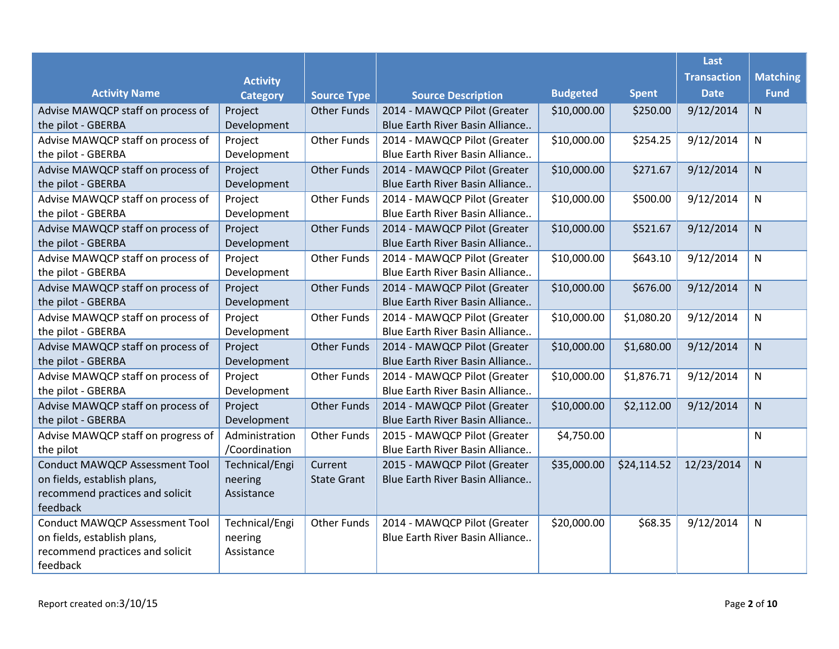|                                       |                 |                    |                                 |                 |              | Last               |                 |
|---------------------------------------|-----------------|--------------------|---------------------------------|-----------------|--------------|--------------------|-----------------|
|                                       | <b>Activity</b> |                    |                                 |                 |              | <b>Transaction</b> | <b>Matching</b> |
| <b>Activity Name</b>                  | <b>Category</b> | <b>Source Type</b> | <b>Source Description</b>       | <b>Budgeted</b> | <b>Spent</b> | <b>Date</b>        | <b>Fund</b>     |
| Advise MAWQCP staff on process of     | Project         | <b>Other Funds</b> | 2014 - MAWQCP Pilot (Greater    | \$10,000.00     | \$250.00     | 9/12/2014          | N               |
| the pilot - GBERBA                    | Development     |                    | Blue Earth River Basin Alliance |                 |              |                    |                 |
| Advise MAWQCP staff on process of     | Project         | <b>Other Funds</b> | 2014 - MAWQCP Pilot (Greater    | \$10,000.00     | \$254.25     | 9/12/2014          | $\mathsf{N}$    |
| the pilot - GBERBA                    | Development     |                    | Blue Earth River Basin Alliance |                 |              |                    |                 |
| Advise MAWQCP staff on process of     | Project         | <b>Other Funds</b> | 2014 - MAWQCP Pilot (Greater    | \$10,000.00     | \$271.67     | 9/12/2014          | N               |
| the pilot - GBERBA                    | Development     |                    | Blue Earth River Basin Alliance |                 |              |                    |                 |
| Advise MAWQCP staff on process of     | Project         | <b>Other Funds</b> | 2014 - MAWQCP Pilot (Greater    | \$10,000.00     | \$500.00     | 9/12/2014          | ${\sf N}$       |
| the pilot - GBERBA                    | Development     |                    | Blue Earth River Basin Alliance |                 |              |                    |                 |
| Advise MAWQCP staff on process of     | Project         | <b>Other Funds</b> | 2014 - MAWQCP Pilot (Greater    | \$10,000.00     | \$521.67     | 9/12/2014          | $\mathsf{N}$    |
| the pilot - GBERBA                    | Development     |                    | Blue Earth River Basin Alliance |                 |              |                    |                 |
| Advise MAWQCP staff on process of     | Project         | <b>Other Funds</b> | 2014 - MAWQCP Pilot (Greater    | \$10,000.00     | \$643.10     | 9/12/2014          | $\mathsf{N}$    |
| the pilot - GBERBA                    | Development     |                    | Blue Earth River Basin Alliance |                 |              |                    |                 |
| Advise MAWQCP staff on process of     | Project         | <b>Other Funds</b> | 2014 - MAWQCP Pilot (Greater    | \$10,000.00     | \$676.00     | 9/12/2014          | ${\sf N}$       |
| the pilot - GBERBA                    | Development     |                    | Blue Earth River Basin Alliance |                 |              |                    |                 |
| Advise MAWQCP staff on process of     | Project         | <b>Other Funds</b> | 2014 - MAWQCP Pilot (Greater    | \$10,000.00     | \$1,080.20   | 9/12/2014          | $\mathsf{N}$    |
| the pilot - GBERBA                    | Development     |                    | Blue Earth River Basin Alliance |                 |              |                    |                 |
| Advise MAWQCP staff on process of     | Project         | <b>Other Funds</b> | 2014 - MAWQCP Pilot (Greater    | \$10,000.00     | \$1,680.00   | 9/12/2014          | N               |
| the pilot - GBERBA                    | Development     |                    | Blue Earth River Basin Alliance |                 |              |                    |                 |
| Advise MAWQCP staff on process of     | Project         | <b>Other Funds</b> | 2014 - MAWQCP Pilot (Greater    | \$10,000.00     | \$1,876.71   | 9/12/2014          | N               |
| the pilot - GBERBA                    | Development     |                    | Blue Earth River Basin Alliance |                 |              |                    |                 |
| Advise MAWQCP staff on process of     | Project         | <b>Other Funds</b> | 2014 - MAWQCP Pilot (Greater    | \$10,000.00     | \$2,112.00   | 9/12/2014          | N.              |
| the pilot - GBERBA                    | Development     |                    | Blue Earth River Basin Alliance |                 |              |                    |                 |
| Advise MAWQCP staff on progress of    | Administration  | <b>Other Funds</b> | 2015 - MAWQCP Pilot (Greater    | \$4,750.00      |              |                    | $\mathsf{N}$    |
| the pilot                             | /Coordination   |                    | Blue Earth River Basin Alliance |                 |              |                    |                 |
| <b>Conduct MAWQCP Assessment Tool</b> | Technical/Engi  | Current            | 2015 - MAWQCP Pilot (Greater    | \$35,000.00     | \$24,114.52  | 12/23/2014         | N               |
| on fields, establish plans,           | neering         | <b>State Grant</b> | Blue Earth River Basin Alliance |                 |              |                    |                 |
| recommend practices and solicit       | Assistance      |                    |                                 |                 |              |                    |                 |
| feedback                              |                 |                    |                                 |                 |              |                    |                 |
| <b>Conduct MAWQCP Assessment Tool</b> | Technical/Engi  | <b>Other Funds</b> | 2014 - MAWQCP Pilot (Greater    | \$20,000.00     | \$68.35      | 9/12/2014          | $\mathsf{N}$    |
| on fields, establish plans,           | neering         |                    | Blue Earth River Basin Alliance |                 |              |                    |                 |
| recommend practices and solicit       | Assistance      |                    |                                 |                 |              |                    |                 |
| feedback                              |                 |                    |                                 |                 |              |                    |                 |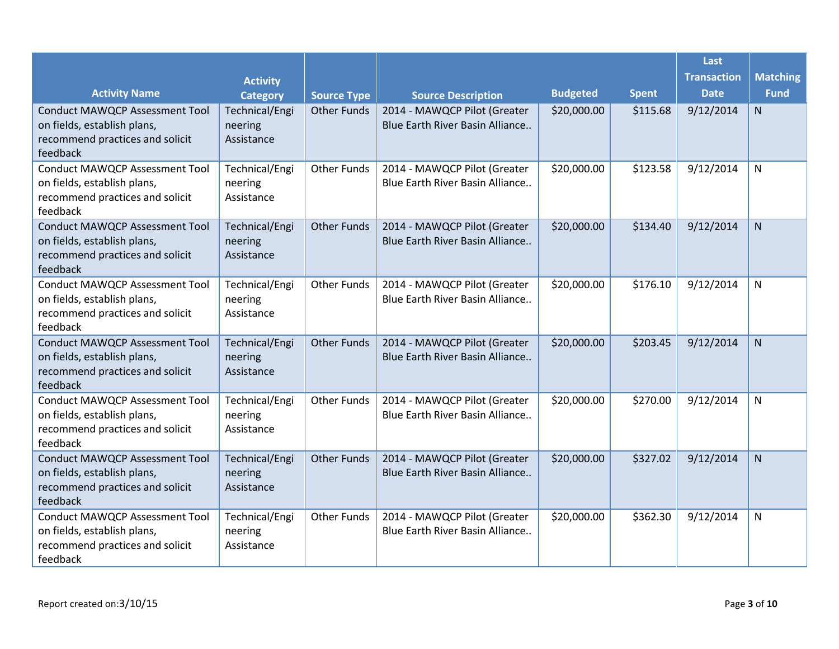|                                                                                                                     |                                         |                    |                                                                 |                 |              | Last               |                 |
|---------------------------------------------------------------------------------------------------------------------|-----------------------------------------|--------------------|-----------------------------------------------------------------|-----------------|--------------|--------------------|-----------------|
|                                                                                                                     | <b>Activity</b>                         |                    |                                                                 |                 |              | <b>Transaction</b> | <b>Matching</b> |
| <b>Activity Name</b>                                                                                                | <b>Category</b>                         | <b>Source Type</b> | <b>Source Description</b>                                       | <b>Budgeted</b> | <b>Spent</b> | <b>Date</b>        | <b>Fund</b>     |
| <b>Conduct MAWQCP Assessment Tool</b><br>on fields, establish plans,<br>recommend practices and solicit<br>feedback | Technical/Engi<br>neering<br>Assistance | <b>Other Funds</b> | 2014 - MAWQCP Pilot (Greater<br>Blue Earth River Basin Alliance | \$20,000.00     | \$115.68     | 9/12/2014          | N               |
| <b>Conduct MAWQCP Assessment Tool</b><br>on fields, establish plans,<br>recommend practices and solicit<br>feedback | Technical/Engi<br>neering<br>Assistance | <b>Other Funds</b> | 2014 - MAWQCP Pilot (Greater<br>Blue Earth River Basin Alliance | \$20,000.00     | \$123.58     | 9/12/2014          | N               |
| <b>Conduct MAWQCP Assessment Tool</b><br>on fields, establish plans,<br>recommend practices and solicit<br>feedback | Technical/Engi<br>neering<br>Assistance | <b>Other Funds</b> | 2014 - MAWQCP Pilot (Greater<br>Blue Earth River Basin Alliance | \$20,000.00     | \$134.40     | 9/12/2014          | N               |
| <b>Conduct MAWQCP Assessment Tool</b><br>on fields, establish plans,<br>recommend practices and solicit<br>feedback | Technical/Engi<br>neering<br>Assistance | <b>Other Funds</b> | 2014 - MAWQCP Pilot (Greater<br>Blue Earth River Basin Alliance | \$20,000.00     | \$176.10     | 9/12/2014          | N               |
| <b>Conduct MAWQCP Assessment Tool</b><br>on fields, establish plans,<br>recommend practices and solicit<br>feedback | Technical/Engi<br>neering<br>Assistance | <b>Other Funds</b> | 2014 - MAWQCP Pilot (Greater<br>Blue Earth River Basin Alliance | \$20,000.00     | \$203.45     | 9/12/2014          | N               |
| <b>Conduct MAWQCP Assessment Tool</b><br>on fields, establish plans,<br>recommend practices and solicit<br>feedback | Technical/Engi<br>neering<br>Assistance | <b>Other Funds</b> | 2014 - MAWQCP Pilot (Greater<br>Blue Earth River Basin Alliance | \$20,000.00     | \$270.00     | 9/12/2014          | $\mathsf{N}$    |
| <b>Conduct MAWQCP Assessment Tool</b><br>on fields, establish plans,<br>recommend practices and solicit<br>feedback | Technical/Engi<br>neering<br>Assistance | <b>Other Funds</b> | 2014 - MAWQCP Pilot (Greater<br>Blue Earth River Basin Alliance | \$20,000.00     | \$327.02     | 9/12/2014          | N               |
| <b>Conduct MAWQCP Assessment Tool</b><br>on fields, establish plans,<br>recommend practices and solicit<br>feedback | Technical/Engi<br>neering<br>Assistance | <b>Other Funds</b> | 2014 - MAWQCP Pilot (Greater<br>Blue Earth River Basin Alliance | \$20,000.00     | \$362.30     | 9/12/2014          | N               |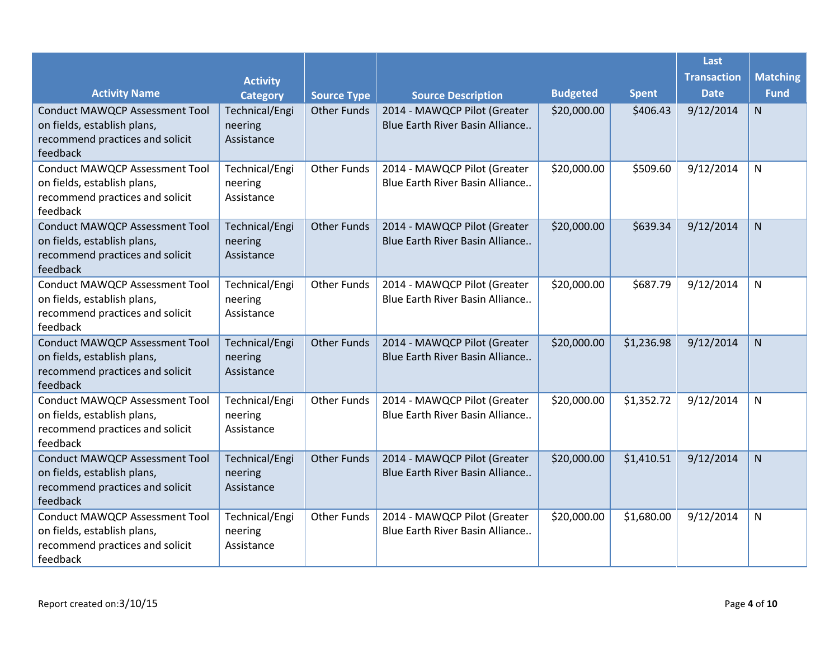|                                                                                                                     |                                         |                    |                                                                 |                 |              | Last               |                 |
|---------------------------------------------------------------------------------------------------------------------|-----------------------------------------|--------------------|-----------------------------------------------------------------|-----------------|--------------|--------------------|-----------------|
|                                                                                                                     | <b>Activity</b>                         |                    |                                                                 |                 |              | <b>Transaction</b> | <b>Matching</b> |
| <b>Activity Name</b>                                                                                                | <b>Category</b>                         | <b>Source Type</b> | <b>Source Description</b>                                       | <b>Budgeted</b> | <b>Spent</b> | <b>Date</b>        | <b>Fund</b>     |
| <b>Conduct MAWQCP Assessment Tool</b><br>on fields, establish plans,<br>recommend practices and solicit<br>feedback | Technical/Engi<br>neering<br>Assistance | <b>Other Funds</b> | 2014 - MAWQCP Pilot (Greater<br>Blue Earth River Basin Alliance | \$20,000.00     | \$406.43     | 9/12/2014          | N               |
| <b>Conduct MAWQCP Assessment Tool</b><br>on fields, establish plans,<br>recommend practices and solicit<br>feedback | Technical/Engi<br>neering<br>Assistance | <b>Other Funds</b> | 2014 - MAWQCP Pilot (Greater<br>Blue Earth River Basin Alliance | \$20,000.00     | \$509.60     | 9/12/2014          | N               |
| <b>Conduct MAWQCP Assessment Tool</b><br>on fields, establish plans,<br>recommend practices and solicit<br>feedback | Technical/Engi<br>neering<br>Assistance | <b>Other Funds</b> | 2014 - MAWQCP Pilot (Greater<br>Blue Earth River Basin Alliance | \$20,000.00     | \$639.34     | 9/12/2014          | N               |
| <b>Conduct MAWQCP Assessment Tool</b><br>on fields, establish plans,<br>recommend practices and solicit<br>feedback | Technical/Engi<br>neering<br>Assistance | <b>Other Funds</b> | 2014 - MAWQCP Pilot (Greater<br>Blue Earth River Basin Alliance | \$20,000.00     | \$687.79     | 9/12/2014          | N               |
| <b>Conduct MAWQCP Assessment Tool</b><br>on fields, establish plans,<br>recommend practices and solicit<br>feedback | Technical/Engi<br>neering<br>Assistance | <b>Other Funds</b> | 2014 - MAWQCP Pilot (Greater<br>Blue Earth River Basin Alliance | \$20,000.00     | \$1,236.98   | 9/12/2014          | N               |
| <b>Conduct MAWQCP Assessment Tool</b><br>on fields, establish plans,<br>recommend practices and solicit<br>feedback | Technical/Engi<br>neering<br>Assistance | <b>Other Funds</b> | 2014 - MAWQCP Pilot (Greater<br>Blue Earth River Basin Alliance | \$20,000.00     | \$1,352.72   | 9/12/2014          | $\mathsf{N}$    |
| <b>Conduct MAWQCP Assessment Tool</b><br>on fields, establish plans,<br>recommend practices and solicit<br>feedback | Technical/Engi<br>neering<br>Assistance | <b>Other Funds</b> | 2014 - MAWQCP Pilot (Greater<br>Blue Earth River Basin Alliance | \$20,000.00     | \$1,410.51   | 9/12/2014          | N               |
| <b>Conduct MAWQCP Assessment Tool</b><br>on fields, establish plans,<br>recommend practices and solicit<br>feedback | Technical/Engi<br>neering<br>Assistance | <b>Other Funds</b> | 2014 - MAWQCP Pilot (Greater<br>Blue Earth River Basin Alliance | \$20,000.00     | \$1,680.00   | 9/12/2014          | N               |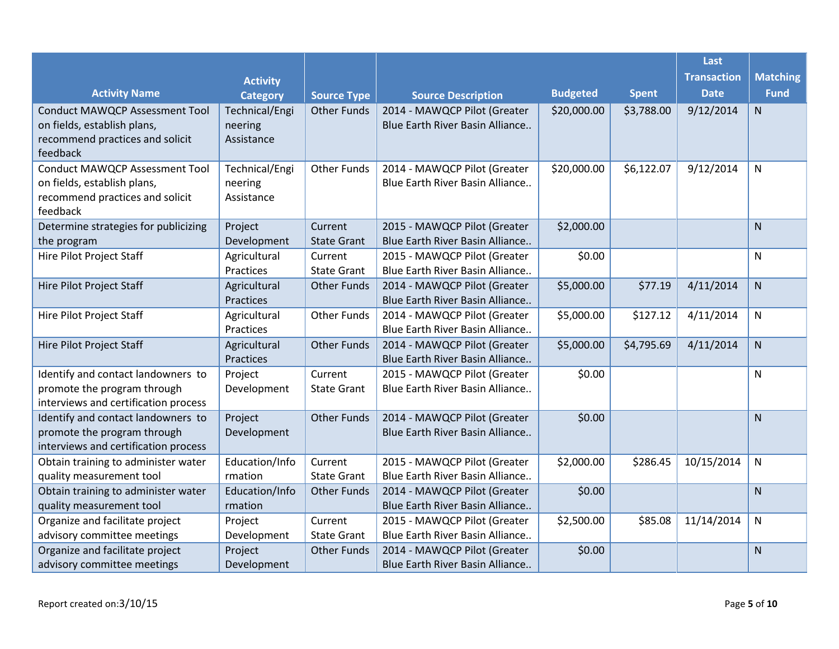|                                                                     |                           |                    |                                                                 |                 |              | Last               |                 |
|---------------------------------------------------------------------|---------------------------|--------------------|-----------------------------------------------------------------|-----------------|--------------|--------------------|-----------------|
|                                                                     | <b>Activity</b>           |                    |                                                                 |                 |              | <b>Transaction</b> | <b>Matching</b> |
| <b>Activity Name</b>                                                | <b>Category</b>           | <b>Source Type</b> | <b>Source Description</b>                                       | <b>Budgeted</b> | <b>Spent</b> | <b>Date</b>        | <b>Fund</b>     |
| <b>Conduct MAWQCP Assessment Tool</b>                               | Technical/Engi            | <b>Other Funds</b> | 2014 - MAWQCP Pilot (Greater                                    | \$20,000.00     | \$3,788.00   | 9/12/2014          | N               |
| on fields, establish plans,                                         | neering                   |                    | Blue Earth River Basin Alliance                                 |                 |              |                    |                 |
| recommend practices and solicit                                     | Assistance                |                    |                                                                 |                 |              |                    |                 |
| feedback                                                            |                           |                    |                                                                 |                 |              |                    |                 |
| <b>Conduct MAWQCP Assessment Tool</b>                               | Technical/Engi            | <b>Other Funds</b> | 2014 - MAWQCP Pilot (Greater                                    | \$20,000.00     | \$6,122.07   | 9/12/2014          | $\mathsf{N}$    |
| on fields, establish plans,                                         | neering                   |                    | Blue Earth River Basin Alliance                                 |                 |              |                    |                 |
| recommend practices and solicit                                     | Assistance                |                    |                                                                 |                 |              |                    |                 |
| feedback                                                            |                           |                    |                                                                 |                 |              |                    |                 |
| Determine strategies for publicizing                                | Project                   | Current            | 2015 - MAWQCP Pilot (Greater                                    | \$2,000.00      |              |                    | N               |
| the program                                                         | Development               | <b>State Grant</b> | Blue Earth River Basin Alliance                                 |                 |              |                    |                 |
| <b>Hire Pilot Project Staff</b>                                     | Agricultural              | Current            | 2015 - MAWQCP Pilot (Greater                                    | \$0.00          |              |                    | ${\sf N}$       |
|                                                                     | Practices                 | <b>State Grant</b> | Blue Earth River Basin Alliance                                 |                 |              |                    |                 |
| Hire Pilot Project Staff                                            | Agricultural              | <b>Other Funds</b> | 2014 - MAWQCP Pilot (Greater                                    | \$5,000.00      | \$77.19      | 4/11/2014          | N               |
|                                                                     | <b>Practices</b>          |                    | Blue Earth River Basin Alliance                                 |                 |              |                    |                 |
| Hire Pilot Project Staff                                            | Agricultural              | <b>Other Funds</b> | 2014 - MAWQCP Pilot (Greater                                    | \$5,000.00      | \$127.12     | 4/11/2014          | ${\sf N}$       |
|                                                                     | Practices                 |                    | Blue Earth River Basin Alliance                                 |                 |              |                    |                 |
| Hire Pilot Project Staff                                            | Agricultural              | <b>Other Funds</b> | 2014 - MAWQCP Pilot (Greater                                    | \$5,000.00      | \$4,795.69   | 4/11/2014          | N               |
|                                                                     | Practices                 |                    | Blue Earth River Basin Alliance                                 |                 |              |                    |                 |
| Identify and contact landowners to                                  | Project                   | Current            | 2015 - MAWQCP Pilot (Greater                                    | \$0.00          |              |                    | ${\sf N}$       |
| promote the program through                                         | Development               | <b>State Grant</b> | Blue Earth River Basin Alliance                                 |                 |              |                    |                 |
| interviews and certification process                                |                           |                    |                                                                 |                 |              |                    |                 |
| Identify and contact landowners to                                  | Project                   | <b>Other Funds</b> | 2014 - MAWQCP Pilot (Greater                                    | \$0.00          |              |                    | N               |
| promote the program through<br>interviews and certification process | Development               |                    | Blue Earth River Basin Alliance                                 |                 |              |                    |                 |
|                                                                     | Education/Info            | Current            |                                                                 | \$2,000.00      | \$286.45     | 10/15/2014         |                 |
| Obtain training to administer water<br>quality measurement tool     | rmation                   | <b>State Grant</b> | 2015 - MAWQCP Pilot (Greater<br>Blue Earth River Basin Alliance |                 |              |                    | ${\sf N}$       |
|                                                                     |                           |                    |                                                                 | \$0.00          |              |                    |                 |
| Obtain training to administer water<br>quality measurement tool     | Education/Info<br>rmation | <b>Other Funds</b> | 2014 - MAWQCP Pilot (Greater<br>Blue Earth River Basin Alliance |                 |              |                    | N               |
|                                                                     |                           | Current            |                                                                 |                 |              |                    |                 |
| Organize and facilitate project<br>advisory committee meetings      | Project<br>Development    | <b>State Grant</b> | 2015 - MAWQCP Pilot (Greater<br>Blue Earth River Basin Alliance | \$2,500.00      | \$85.08      | 11/14/2014         | N               |
| Organize and facilitate project                                     |                           |                    |                                                                 |                 |              |                    |                 |
|                                                                     | Project<br>Development    | <b>Other Funds</b> | 2014 - MAWQCP Pilot (Greater<br>Blue Earth River Basin Alliance | \$0.00          |              |                    | N               |
| advisory committee meetings                                         |                           |                    |                                                                 |                 |              |                    |                 |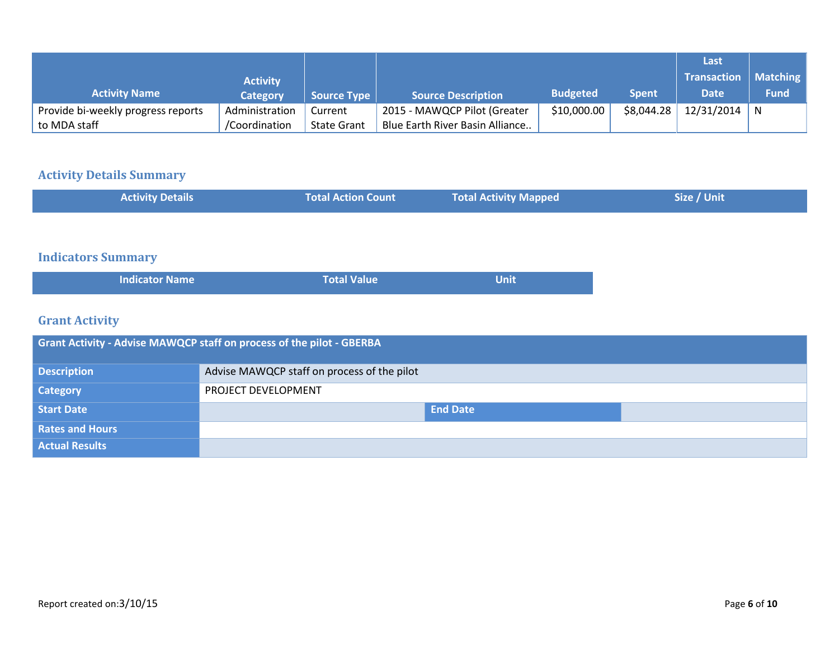|                                    |                 |                    |                                 |                 |              | Last               |             |
|------------------------------------|-----------------|--------------------|---------------------------------|-----------------|--------------|--------------------|-------------|
|                                    | <b>Activity</b> |                    |                                 |                 |              | <b>Transaction</b> | Matching    |
| <b>Activity Name</b>               | <b>Category</b> | <b>Source Type</b> | Source Description              | <b>Budgeted</b> | <b>Spent</b> | <b>Date</b>        | <b>Fund</b> |
| Provide bi-weekly progress reports | Administration  | Current            | 2015 - MAWQCP Pilot (Greater    | \$10,000.00     | \$8,044.28   | $12/31/2014$ N     |             |
| to MDA staff                       | /Coordination   | <b>State Grant</b> | Blue Earth River Basin Alliance |                 |              |                    |             |

## **Activity Details Summary**

| <b>Total Value</b> | <b>Unit</b> |  |
|--------------------|-------------|--|
|                    |             |  |

## **Grant Activity**

| <b>Grant Activity - Advise MAWQCP staff on process of the pilot - GBERBA</b> |                                             |  |  |  |
|------------------------------------------------------------------------------|---------------------------------------------|--|--|--|
| <b>Description</b>                                                           | Advise MAWQCP staff on process of the pilot |  |  |  |
| <b>Category</b>                                                              | PROJECT DEVELOPMENT                         |  |  |  |
| <b>Start Date</b>                                                            | <b>End Date</b>                             |  |  |  |
| <b>Rates and Hours</b>                                                       |                                             |  |  |  |
| <b>Actual Results</b>                                                        |                                             |  |  |  |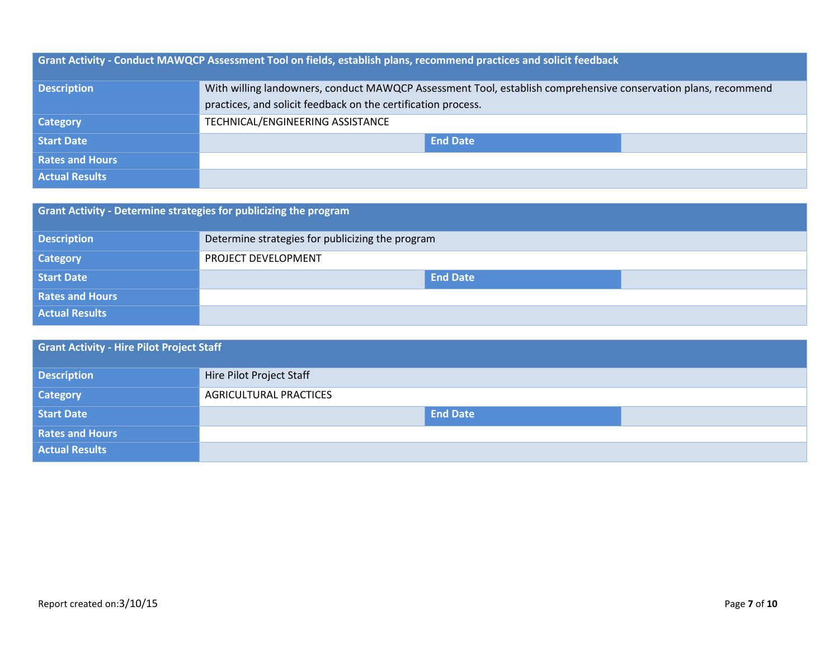|                        | <b>Grant Activity - Conduct MAWQCP Assessment Tool on fields, establish plans, recommend practices and solicit feedback</b> |
|------------------------|-----------------------------------------------------------------------------------------------------------------------------|
| <b>Description</b>     | With willing landowners, conduct MAWQCP Assessment Tool, establish comprehensive conservation plans, recommend              |
|                        | practices, and solicit feedback on the certification process.                                                               |
| <b>Category</b>        | TECHNICAL/ENGINEERING ASSISTANCE                                                                                            |
| <b>Start Date</b>      | <b>End Date</b>                                                                                                             |
| <b>Rates and Hours</b> |                                                                                                                             |
| <b>Actual Results</b>  |                                                                                                                             |

| Grant Activity - Determine strategies for publicizing the program |                                                  |  |  |  |
|-------------------------------------------------------------------|--------------------------------------------------|--|--|--|
| <b>Description</b>                                                | Determine strategies for publicizing the program |  |  |  |
| <b>Category</b>                                                   | PROJECT DEVELOPMENT                              |  |  |  |
| <b>Start Date</b>                                                 | <b>End Date</b>                                  |  |  |  |
| <b>Rates and Hours</b>                                            |                                                  |  |  |  |
| <b>Actual Results</b>                                             |                                                  |  |  |  |

| <b>Grant Activity - Hire Pilot Project Staff</b> |                               |  |
|--------------------------------------------------|-------------------------------|--|
| <b>Description</b>                               | Hire Pilot Project Staff      |  |
| <b>Category</b>                                  | <b>AGRICULTURAL PRACTICES</b> |  |
| Start Date                                       | <b>End Date</b>               |  |
| <b>Rates and Hours</b>                           |                               |  |
| <b>Actual Results</b>                            |                               |  |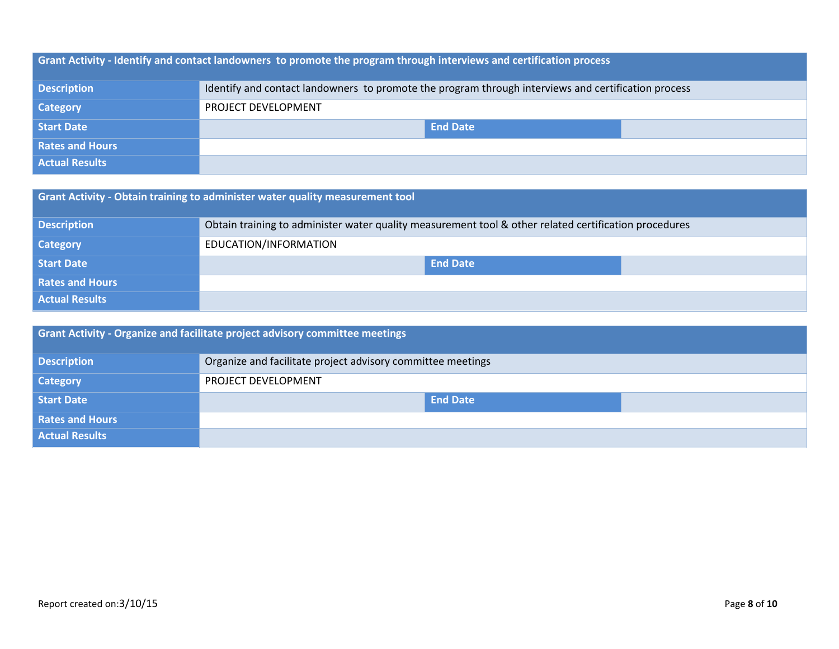| <b>Grant Activity - Identify and contact landowners to promote the program through interviews and certification process</b> |                                                                                                     |  |  |
|-----------------------------------------------------------------------------------------------------------------------------|-----------------------------------------------------------------------------------------------------|--|--|
| <b>Description</b>                                                                                                          | Identify and contact landowners to promote the program through interviews and certification process |  |  |
| <b>Category</b>                                                                                                             | PROJECT DEVELOPMENT                                                                                 |  |  |
| Start Date                                                                                                                  | <b>End Date</b>                                                                                     |  |  |
| <b>Rates and Hours</b>                                                                                                      |                                                                                                     |  |  |
| <b>Actual Results</b>                                                                                                       |                                                                                                     |  |  |

| Grant Activity - Obtain training to administer water quality measurement tool |                                                                                                       |  |
|-------------------------------------------------------------------------------|-------------------------------------------------------------------------------------------------------|--|
| <b>Description</b>                                                            | Obtain training to administer water quality measurement tool & other related certification procedures |  |
| <b>Category</b>                                                               | EDUCATION/INFORMATION                                                                                 |  |
| Start Date                                                                    | <b>End Date</b>                                                                                       |  |
| <b>Rates and Hours</b>                                                        |                                                                                                       |  |
| <b>Actual Results</b>                                                         |                                                                                                       |  |

| <b>Grant Activity - Organize and facilitate project advisory committee meetings</b> |                                                             |  |
|-------------------------------------------------------------------------------------|-------------------------------------------------------------|--|
| <b>Description</b>                                                                  | Organize and facilitate project advisory committee meetings |  |
| <b>Category</b>                                                                     | <b>PROJECT DEVELOPMENT</b>                                  |  |
| Start Date                                                                          | <b>End Date</b>                                             |  |
| <b>Rates and Hours</b>                                                              |                                                             |  |
| <b>Actual Results</b>                                                               |                                                             |  |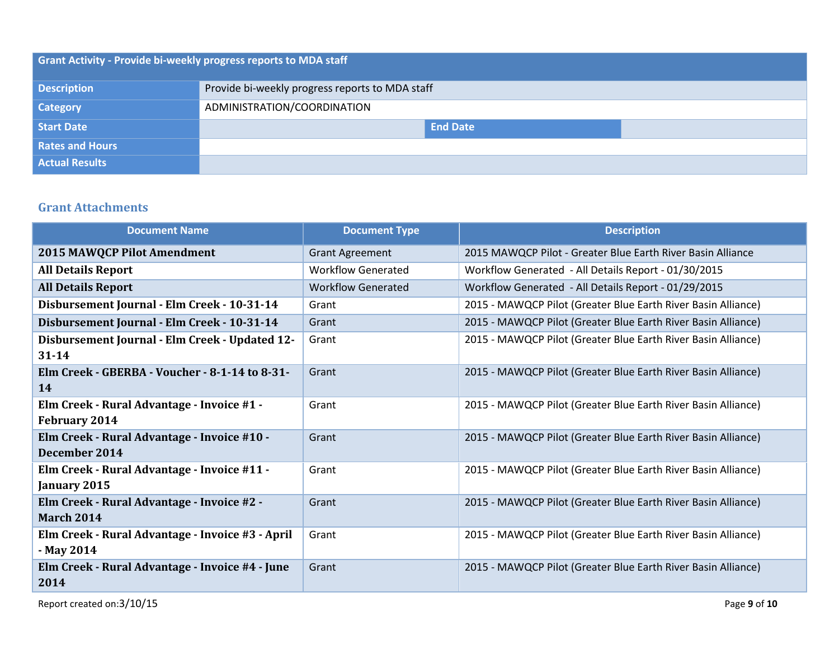| Grant Activity - Provide bi-weekly progress reports to MDA staff |                                                 |  |  |
|------------------------------------------------------------------|-------------------------------------------------|--|--|
| <b>Description</b>                                               | Provide bi-weekly progress reports to MDA staff |  |  |
| <b>Category</b>                                                  | ADMINISTRATION/COORDINATION                     |  |  |
| Start Date                                                       | <b>End Date</b>                                 |  |  |
| <b>Rates and Hours</b>                                           |                                                 |  |  |
| <b>Actual Results</b>                                            |                                                 |  |  |

### **Grant Attachments**

| <b>Document Name</b>                             | <b>Document Type</b>      | <b>Description</b>                                            |
|--------------------------------------------------|---------------------------|---------------------------------------------------------------|
| <b>2015 MAWQCP Pilot Amendment</b>               | <b>Grant Agreement</b>    | 2015 MAWQCP Pilot - Greater Blue Earth River Basin Alliance   |
| <b>All Details Report</b>                        | <b>Workflow Generated</b> | Workflow Generated - All Details Report - 01/30/2015          |
| <b>All Details Report</b>                        | <b>Workflow Generated</b> | Workflow Generated - All Details Report - 01/29/2015          |
| Disbursement Journal - Elm Creek - 10-31-14      | Grant                     | 2015 - MAWQCP Pilot (Greater Blue Earth River Basin Alliance) |
| Disbursement Journal - Elm Creek - 10-31-14      | Grant                     | 2015 - MAWQCP Pilot (Greater Blue Earth River Basin Alliance) |
| Disbursement Journal - Elm Creek - Updated 12-   | Grant                     | 2015 - MAWQCP Pilot (Greater Blue Earth River Basin Alliance) |
| $31 - 14$                                        |                           |                                                               |
| Elm Creek - GBERBA - Voucher - 8-1-14 to 8-31-   | Grant                     | 2015 - MAWQCP Pilot (Greater Blue Earth River Basin Alliance) |
| 14                                               |                           |                                                               |
| Elm Creek - Rural Advantage - Invoice #1 -       | Grant                     | 2015 - MAWQCP Pilot (Greater Blue Earth River Basin Alliance) |
| <b>February 2014</b>                             |                           |                                                               |
| Elm Creek - Rural Advantage - Invoice #10 -      | Grant                     | 2015 - MAWQCP Pilot (Greater Blue Earth River Basin Alliance) |
| December 2014                                    |                           |                                                               |
| Elm Creek - Rural Advantage - Invoice #11 -      | Grant                     | 2015 - MAWQCP Pilot (Greater Blue Earth River Basin Alliance) |
| January 2015                                     |                           |                                                               |
| Elm Creek - Rural Advantage - Invoice #2 -       | Grant                     | 2015 - MAWQCP Pilot (Greater Blue Earth River Basin Alliance) |
| <b>March 2014</b>                                |                           |                                                               |
| Elm Creek - Rural Advantage - Invoice #3 - April | Grant                     | 2015 - MAWQCP Pilot (Greater Blue Earth River Basin Alliance) |
| - May 2014                                       |                           |                                                               |
| Elm Creek - Rural Advantage - Invoice #4 - June  | Grant                     | 2015 - MAWQCP Pilot (Greater Blue Earth River Basin Alliance) |
| 2014                                             |                           |                                                               |